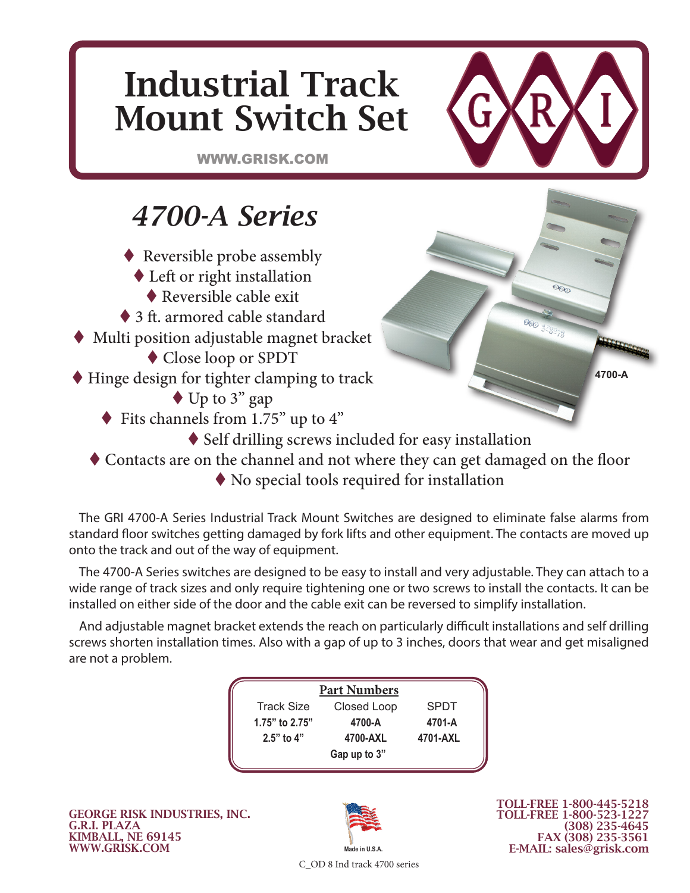# Industrial Track Mount Switch Set

WWW.GRISK.COM

### *4700-A Series*

- ◆ Reversible probe assembly
	- Left or right installation
		- ◆ Reversible cable exit
- ◆ 3 ft. armored cable standard
- Multi position adjustable magnet bracket
	- Close loop or SPDT
- ◆ Hinge design for tighter clamping to track
	- ◆ Up to 3" gap
	- Fits channels from 1.75" up to 4"
		- ◆ Self drilling screws included for easy installation
	- Contacts are on the channel and not where they can get damaged on the floor
		- No special tools required for installation

The GRI 4700-A Series Industrial Track Mount Switches are designed to eliminate false alarms from standard floor switches getting damaged by fork lifts and other equipment. The contacts are moved up onto the track and out of the way of equipment.

The 4700-A Series switches are designed to be easy to install and very adjustable. They can attach to a wide range of track sizes and only require tightening one or two screws to install the contacts. It can be installed on either side of the door and the cable exit can be reversed to simplify installation.

And adjustable magnet bracket extends the reach on particularly difficult installations and self drilling screws shorten installation times. Also with a gap of up to 3 inches, doors that wear and get misaligned are not a problem.

| <b>Part Numbers</b> |              |             |  |  |  |  |  |
|---------------------|--------------|-------------|--|--|--|--|--|
| <b>Track Size</b>   | Closed Loop  | <b>SPDT</b> |  |  |  |  |  |
| 1.75" to 2.75"      | 4700-A       | 4701-A      |  |  |  |  |  |
| $2.5"$ to 4"        | 4700-AXL     | 4701-AXL    |  |  |  |  |  |
|                     | Gap up to 3" |             |  |  |  |  |  |

GEORGE RISK INDUSTRIES, INC. G.R.I. PLAZA KIMBALL, NE 69145 WWW.GRISK.COM



TOLL-FREE 1-800-445-5218 TOLL-FREE 1-800-523-1227 (308) 235-4645 FAX (308) 235-3561 E-MAIL: sales@grisk.com

**4700-A**

C\_OD 8 Ind track 4700 series